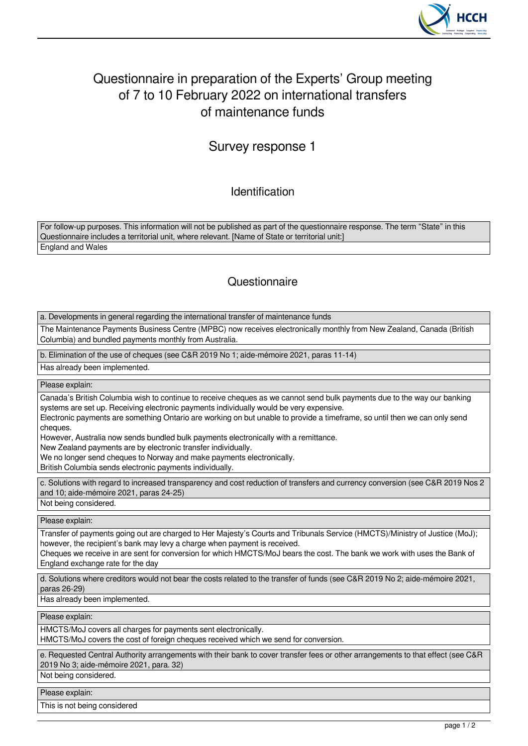

## Questionnaire in preparation of the Experts' Group meeting of 7 to 10 February 2022 on international transfers of maintenance funds

## Survey response 1

Identification

For follow-up purposes. This information will not be published as part of the questionnaire response. The term "State" in this Questionnaire includes a territorial unit, where relevant. [Name of State or territorial unit:] England and Wales

## **Questionnaire**

a. Developments in general regarding the international transfer of maintenance funds

The Maintenance Payments Business Centre (MPBC) now receives electronically monthly from New Zealand, Canada (British Columbia) and bundled payments monthly from Australia.

b. Elimination of the use of cheques (see C&R 2019 No 1; aide-mémoire 2021, paras 11-14)

Has already been implemented.

Please explain:

Canada's British Columbia wish to continue to receive cheques as we cannot send bulk payments due to the way our banking systems are set up. Receiving electronic payments individually would be very expensive.

Electronic payments are something Ontario are working on but unable to provide a timeframe, so until then we can only send cheques.

However, Australia now sends bundled bulk payments electronically with a remittance.

New Zealand payments are by electronic transfer individually.

We no longer send cheques to Norway and make payments electronically.

British Columbia sends electronic payments individually.

c. Solutions with regard to increased transparency and cost reduction of transfers and currency conversion (see C&R 2019 Nos 2 and 10; aide-mémoire 2021, paras 24-25)

Not being considered.

Please explain:

Transfer of payments going out are charged to Her Majesty's Courts and Tribunals Service (HMCTS)/Ministry of Justice (MoJ); however, the recipient's bank may levy a charge when payment is received.

Cheques we receive in are sent for conversion for which HMCTS/MoJ bears the cost. The bank we work with uses the Bank of England exchange rate for the day

d. Solutions where creditors would not bear the costs related to the transfer of funds (see C&R 2019 No 2; aide-mémoire 2021, paras 26-29)

Has already been implemented.

Please explain:

HMCTS/MoJ covers all charges for payments sent electronically.

HMCTS/MoJ covers the cost of foreign cheques received which we send for conversion.

e. Requested Central Authority arrangements with their bank to cover transfer fees or other arrangements to that effect (see C&R 2019 No 3; aide-mémoire 2021, para. 32)

Not being considered.

Please explain:

This is not being considered